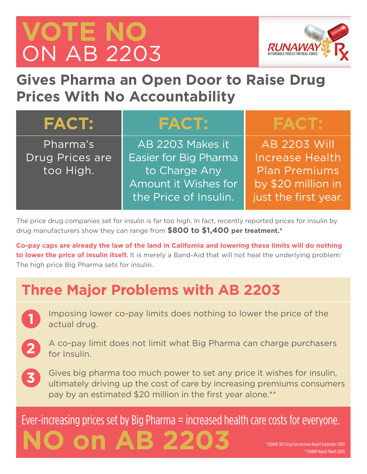# **VOTE NO** ON AB 2203

**NO ON A** 

**1**



### **Gives Pharma an Open Door to Raise Drug Prices With No Accountability**

| <b>FACT:</b>    | <b>FACT:</b>          | <b>FACT:</b>           |
|-----------------|-----------------------|------------------------|
| Pharma's        | AB 2203 Makes it      | <b>AB 2203 Will</b>    |
| Drug Prices are | Easier for Big Pharma | <b>Increase Health</b> |
| too High.       | to Charge Any         | <b>Plan Premiums</b>   |
|                 | Amount it Wishes for  | by \$20 million in     |
|                 | the Price of Insulin. | just the first year.   |

The price drug companies set for insulin is far too high. In fact, recently reported prices for insulin by drug manufacturers show they can range from **\$800 to \$1,400 per treatment.\***

**Co-pay caps are already the law of the land in California and lowering these limits will do nothing to lower the price of insulin itself.** It is merely a Band-Aid that will not heal the underlying problem: The high price Big Pharma sets for insulin.

### **Three Major Problems with AB 2203**

- Imposing lower co-pay limits does nothing to lower the price of the actual drug.
- A co-pay limit does not limit what Big Pharma can charge purchasers for Insulin. **2**
- Gives big pharma too much power to set any price it wishes for insulin, ultimately driving up the cost of care by increasing premiums consumers pay by an estimated \$20 million in the first year alone.\*\* **3**

Ever-increasing prices set by Big Pharma = increased health care costs for everyone.

\*(OSHPD SB17 Drug Cost Increase Report September 2019) \*\*(CHBRP Report March 2020)